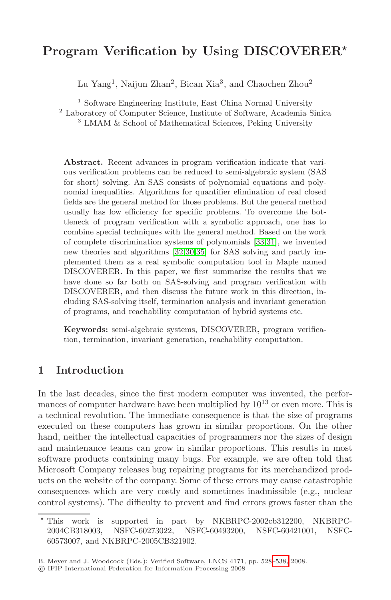# **Program Verification by Using DISCOVERER***-*

Lu Yang<sup>1</sup>, Naijun Zhan<sup>2</sup>, Bican Xia<sup>3</sup>, and Chaochen Zhou<sup>2</sup>

<sup>1</sup> Software Engineering Institute, East China Normal University

<sup>2</sup> Laboratory of Computer Science, Institute of Software, Academia Sinica

<sup>3</sup> LMAM & School of Mathematical Sciences, Peking University

**Abstract.** Recent advances in [pr](#page-10-0)[ogra](#page-10-1)m verification indicate that various verifi[cati](#page-10-2)[on](#page-10-3) [pro](#page-10-4)blems can be reduced to semi-algebraic system (SAS for short) solving. An SAS consists of polynomial equations and polynomial inequalities. Algorithms for quantifier elimination of real closed fields are the general method for those problems. But the general method usually has low efficiency for specific problems. To overcome the bottleneck of program verification with a symbolic approach, one has to combine special techniques with the general method. Based on the work of complete discrimination systems of polynomials [33,31], we invented new theories and algorithms [32,30,35] for SAS solving and partly implemented them as a real symbolic computation tool in Maple named DISCOVERER. In this paper, we first summarize the results that we have done so far both on SAS-solving and program verification with DISCOVERER, and then discuss the future work in this direction, including SAS-solving itself, termination analysis and invariant generation of programs, and reachability computation of hybrid systems etc.

**Keywords:** semi-algebraic systems, DISCOVERER, program verification, termination, invariant generation, reachability computation.

# **1 Introduction**

In the last decades, since the first modern computer was invented, the performances of computer hardware have been multiplied by  $10^{13}$  or even more. This is a technical revolution. The immediate consequence is that the size of programs executed on these computers has grown in similar proportions. On the other hand, neither the intellectual capacities of programmers nor the sizes of design and maintenance teams can grow in similar proportions. This results in most software products containing many bugs. For example, we are often told that Microsoft Company releases bug repairing programs for its merchandized products on the website of the company. Som[e of t](#page-10-5)hese errors may cause catastrophic consequences which are very costly and sometimes inadmissible (e.g., nuclear control systems). The difficulty to prevent and find errors grows faster than the

 $\star$  This work is supported in part by NKBRPC-2002cb312200, NKBRPC-2004CB318003, NSFC-60273022, NSFC-60493200, NSFC-60421001, NSFC-60573007, and NKBRPC-2005CB321902.

B. Meyer and J. Woodcock (Eds.): Verified Software, LNCS 4171, pp. 528–538, 2008.

<sup>-</sup>c IFIP International Federation for Information Processing 2008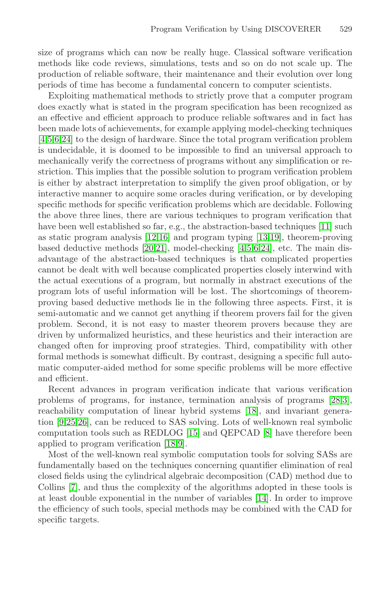size of programs which can now be really huge. Classical software verification methods like code reviews, simulations, tests and so on do not scale up. The production of reliable software, their maintenance and their evolution over long periods of time has become a fundamental concern to computer scientists.

Exploiting mathematical methods to strictly prove that a computer program does exactly what is stated in the program specification has been recognized as an effective and efficient approach to produce reliable softwares and in fact has been made lots of achievements, for example applying model-checking techniques [4,5,6,24] to the design of hardware. Since the total p[rog](#page-9-0)ram verification problem is undec[ida](#page-9-1)[ble](#page-9-2), it is doomed to be i[mp](#page-9-3)[oss](#page-9-4)ible to find an universal approach to mechan[ica](#page-9-5)[lly v](#page-9-6)erify the correctn[es](#page-8-0)[s](#page-8-1) [of](#page-9-7) [pro](#page-9-8)grams without any simplification or restriction. This implies that the possible solution to program verification problem is either by abstract interpretation to simplify the given proof obligation, or by interactive manner to acquire some oracles during verification, or by developing specific methods for specific verification problems which are decidable. Following the above three lines, there are various techniques to program verification that have been well established so far, e.g., the abstraction-based techniques [11] such as static program analysis [12,16] and program typing [13,19], theorem-proving based deductive methods [20,21], model-checking [4,5,6,24], etc. The main disadvantage of the abstraction-based techniques is that complicated properties cannot be dealt with well because complicated properties closely interwind with the actual executions of a program, but normally in abstract executions of the program lots of useful information will be lost. The shortcomings of theoremproving based deductive methods lie in the following three aspects. First, it is semi-automatic and we cannot get anything if theorem [pr](#page-10-6)[ov](#page-8-2)ers fail for the given problem. Second, it is not easy [to](#page-9-9) master theorem provers because they are driven by unformalized heuristics, and these heuristics and their interaction are changed often for [imp](#page-9-10)roving proof st[ra](#page-9-11)tegies. Third, compatibility with other formal meth[ods](#page-9-9) [is](#page-9-12) somewhat difficult. By contrast, designing a specific full automatic computer-aided method for some specific problems will be more effective and efficient.

Recent advances in program verification indicate that various verification problems of programs, for instance, termination analysis of programs [28,3], reachability computation of linear [hyb](#page-9-13)rid systems [18], and invariant generation [9,25,26], can be reduced to SAS solving. Lots of well-known real symbolic computation tools such as REDLOG [15] and QEPCAD [8] have therefore been applied to program verification [18,9].

Most of the well-known real symbolic computation tools for solving SASs are fundamentally based on the techniques concerning quantifier elimination of real closed fields using the cylindrical algebraic decomposition (CAD) method due to Collins [7], and thus the complexity of the algorithms adopted in these tools is at least double exponential in the number of variables [14]. In order to improve the efficiency of such tools, special methods may be combined with the CAD for specific targets.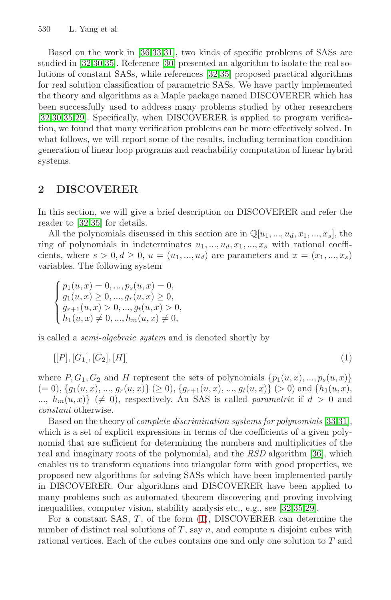Based on the work in [36,33,31], two kinds of specific problems of SASs are studied in [32,30,35]. Reference [30] presented an algorithm to isolate the real solutions of constant SASs, while references [32,35] proposed practical algorithms for real solution classification of parametric SASs. We have partly implemented the theory and algorithms as a Maple package named DISCOVERER which has been successfully used to address many problems studied by other researchers [32,30,35,29]. Specifically, when DISCOVERER is applied to program verification, we found that many verification problems can be more effectively solved. In what follows, we will report some of the results, including termination condition generation of linear loop programs and reachability computation of linear hybrid systems.

## **2 DISCOVERER**

In this section, we will give a brief description on DISCOVERER and refer the reader to [32,35] for details.

All the polynomials discussed in this section are in  $\mathbb{Q}[u_1, ..., u_d, x_1, ..., x_s]$ , the ring of polynomials in indeterminates  $u_1, \ldots, u_d, x_1, \ldots, x_s$  with rational coefficients, where  $s > 0, d \ge 0, u = (u_1, ..., u_d)$  are parameters and  $x = (x_1, ..., x_s)$ variables. The following system

<span id="page-2-0"></span> $\sqrt{ }$  $\int$  $\overline{\mathcal{L}}$  $p_1(u, x) = 0, ..., p_s(u, x) = 0,$  $g_1(u, x) \geq 0, ..., g_r(u, x) \geq 0,$  $g_{r+1}(u,x) > 0, ..., g_t(u,x) > 0,$  $h_1(u, x) \neq 0, ..., h_m(u, x) \neq 0,$ 

is called a semi-algebraic system and is denoted short[ly](#page-10-0) [by](#page-10-1)

$$
[[P],[G_1],[G_2],[H]] \t\t(1)
$$

where  $P, G_1, G_2$  and H represent the sets of poly[nom](#page-10-7)ials  $\{p_1(u, x), ..., p_s(u, x)\}$  $(= 0), \{g_1(u,x), ..., g_r(u,x)\} \geq 0, \{g_{r+1}(u,x), ..., g_t(u,x)\} \geq 0$  and  $\{h_1(u,x),$ ...,  $h_m(u, x)$  ( $\neq$  0), respectively. An SAS is called *parametric* if  $d > 0$  and constant otherwise.

Based on the theory of complete discrimi[nat](#page-10-2)[ion](#page-10-4) [sys](#page-10-8)tems for polynomials [33,31], which is a set of expli[cit](#page-2-0) expressions in terms of the coefficients of a given polynomial that are sufficient for determining the numbers and multiplicities of the real and imaginary roots of the polynomial, and the RSD algorithm [36], which enables us to transform equations into triangular form with good properties, we proposed new algorithms for solving SASs which have been implemented partly in DISCOVERER. Our algorithms and DISCOVERER have been applied to many problems such as automated theorem discovering and proving involving inequalities, computer vision, stability analysis etc., e.g., see [32,35,29].

For a constant SAS,  $T$ , of the form  $(1)$ , DISCOVERER can determine the number of distinct real solutions of  $T$ , say  $n$ , and compute  $n$  disjoint cubes with rational vertices. Each of the cubes contains one and only one solution to T and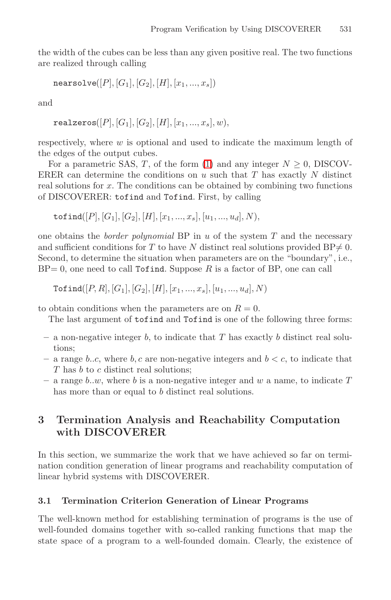the width of the cubes can be less than any given positive real. The two functions are realized through calling

$$
\mathtt{nearsolve}([P],[G_1],[G_2],[H],[x_1,...,x_s])
$$

and

realzeros $([P],[G_1],[G_2],[H],[x_1,...,x_s],w)$ .

respectively, where  $w$  is optional and used to indicate the maximum length of the edges of the output cubes.

For a parametric SAS, T, of the form (1) and any integer  $N \geq 0$ , DISCOV-ERER can determine the conditions on  $u$  such that  $T$  has exactly  $N$  distinct real solutions for x. The conditions can be obtained by combining two functions of DISCOVERER: tofind and Tofind. First, by calling

tofind([P], [G<sub>1</sub>], [G<sub>2</sub>], [H], [x<sub>1</sub>, ..., x<sub>s</sub>], [u<sub>1</sub>, ..., u<sub>d</sub>], N),

one obtains the *border polynomial* BP in  $u$  of the system  $T$  and the necessary and sufficient conditions for T to have N distinct real solutions provided  $BP \neq 0$ . Second, to determine the situation when parameters are on the "boundary", i.e.,  $BP= 0$ , one need to call Tofind. Suppose R is a factor of BP, one can call

 $\text{Tofind}([P,R],[G_1],[G_2],[H],[x_1,...,x_s],[u_1,...,u_d],N)$ 

to obtain conditions when the parameters are on  $R = 0$ .

The last argument of tofind and Tofind is one of the following three forms:

- **–** a non-negative integer b, to indicate that T has exactly b distinct real solutions;
- a range b..c, where b, c are non-negative integers and  $b < c$ , to indicate that T has b to c distinct real solutions;
- $-$  a range b, w, where b is a non-negative integer and w a name, to indicate T has more than or equal to b distinct real solutions.

## **3 Termination Analysis and Reachability Computation with DISCOVERER**

In this section, we summarize the work that we have achieved so far on termination condition generation of linear programs and reachability computation of linear hybrid systems with DISCOVERER.

#### **3.1 Termination Criterion Generation of Linear Programs**

The well-known method for establishing termination of programs is the use of well-founded domains together with so-called ranking functions that map the state space of a program to a well-founded domain. Clearly, the existence of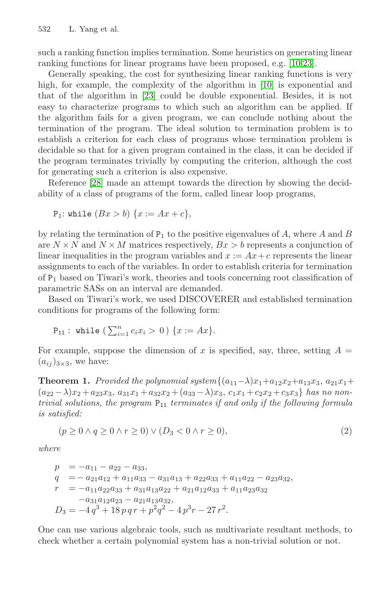such a ranking function implies termination. Some heuristics on generating linear ranking functions for linear programs have been proposed, e.g. [10,23].

Generally speaking, the cost for synthesizing linear ranking functions is very high, for example, the complexity of the algorithm in [10] is exponential and that of the algorithm in [23] could be double exponential. Besides, it is not easy to characterize programs to which such an algorithm can be applied. If the algorithm fails for a given program, we can conclude nothing about the termination of the program. The ideal solution to termination problem is to establish a criterion for each class of programs whose termination problem is decidable so that for a given program contained in the class, it can be decided if the program terminates trivially by computing the criterion, although the cost for generating such a criterion is also expensive.

Reference [28] made an attempt towards the direction by showing the decidability of a class of programs of the form, called linear loop programs,

$$
P_1: \text{while } (Bx > b) \{x := Ax + c\},
$$

by relating the termination of  $P_1$  to the positive eigenvalues of A, where A and B are  $N \times N$  and  $N \times M$  matrices respectively,  $Bx > b$  represents a conjunction of linear inequalities in the program variables and  $x := Ax + c$  represents the linear assignments to each of the variables. In order to establish criteria for termination of  $P_1$  based on Tiwari's work, theories and tools concerning root classification of parametric SASs on an interval are demanded.

Based on Tiwari's work, we used DISCOVERER and established termination conditions for programs of the following form:

P<sub>11</sub>: while 
$$
(\sum_{i=1}^{n} c_i x_i > 0) \{x := Ax\}.
$$

For example, suppose the dimension of x is specified, say, three, setting  $A =$  $(a_{ij})_{3\times 3}$ , we have:

**Theorem 1.** Provided the polynomial system $\{(a_{11}-\lambda)x_1+a_{12}x_2+a_{13}x_3, a_{21}x_1+\lambda_1a_{21}x_2+a_{12}x_3, a_{21}x_1+\lambda_2a_{22}x_2+a_{13}x_3, a_{21}x_1+\lambda_1a_{22}x_2+a_{13}x_3, a_{21}x_1+\lambda_1a_{22}x_2+a_{13}x_3, a_{21}x_1+\lambda_1a_{22}x_2+a_{13}x_3, a_{2$  $(a_{22}-\lambda)x_2 + a_{23}x_3$ ,  $a_{31}x_1 + a_{32}x_2 + (a_{33}-\lambda)x_3$ ,  $c_1x_1 + c_2x_2 + c_3x_3$  has no nontrivial solutions, the program  $P_{11}$  terminates if and only if the following formula is satisfied:

$$
(p \ge 0 \land q \ge 0 \land r \ge 0) \lor (D_3 < 0 \land r \ge 0),
$$
\n
$$
(2)
$$

where

$$
p = -a_{11} - a_{22} - a_{33},
$$
  
\n
$$
q = -a_{21}a_{12} + a_{11}a_{33} - a_{31}a_{13} + a_{22}a_{33} + a_{11}a_{22} - a_{23}a_{32},
$$
  
\n
$$
r = -a_{11}a_{22}a_{33} + a_{31}a_{13}a_{22} + a_{21}a_{12}a_{33} + a_{11}a_{23}a_{32}
$$
  
\n
$$
-a_{31}a_{12}a_{23} - a_{21}a_{13}a_{32},
$$
  
\n
$$
D_3 = -4q^3 + 18pqr + p^2q^2 - 4p^3r - 27r^2.
$$

One can use various algebraic tools, such as multivariate resultant methods, to check whether a certain polynomial system has a non-trivial solution or not.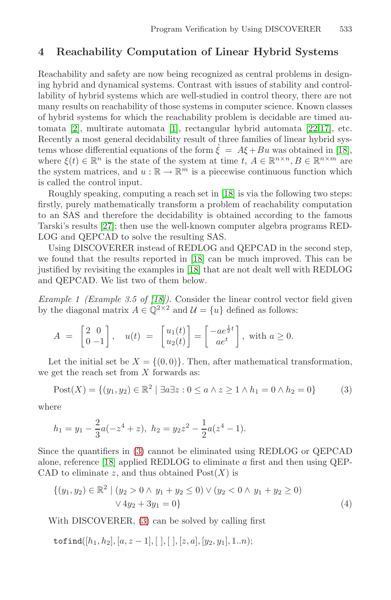## **4 Reacha[bi](#page-8-3)lity Computation of Li[nea](#page-9-14)[r](#page-9-15) [H](#page-9-15)ybrid Systems**

Reachability and safety are now being recognized as cen[tral](#page-9-9) problems in designing hybrid and dynamical systems. Contrast with issues of stability and controllability of hybrid systems which are well-studied in control theory, there are not many results on reachabilit[y of](#page-9-9) those systems in computer science. Known classes of hybrid systems for which the reachability problem is decidable are timed automata [2], multirate automata [1], rectangular hybrid automata [22,17], etc. Recently a most general decidability result of three families of linear hybrid systems whose differential equations of the form  $\dot{\xi} = A\xi + Bu$  was obtained in [18], where  $\xi(t) \in \mathbb{R}^n$  is the state of the system at time  $t, A \in \mathbb{R}^{n \times n}, B \in \mathbb{R}^{n \times m}$  are the system matrices[, an](#page-9-9)d  $u : \mathbb{R} \to \mathbb{R}^m$  is a piecewise continuous function which is called the contr[ol in](#page-9-9)put.

Roughly speaking, computing a reach set in [18] is via the following two steps: firstly, purely mathematically transform a problem of reachability computation to an SA[S an](#page-9-9)d therefore the decidability is obtained according to the famous Tarski's results [27]; then use the well-known computer algebra programs RED-LOG and QEPCAD to solve the resulting SAS.

Using DISCOVERER instead of REDLOG and QEPCAD in the second step, we found that the results reported in [18] can be much improved. This can be justified by revisiting the examples in [18] that are not dealt well with REDLOG and QEPCAD. We list two of them below.

<span id="page-5-0"></span>Example 1 (Example 3.5 of [18]). Consider the linear control vector field given by the diagonal matrix  $A \in \mathbb{Q}^{2 \times 2}$  and  $\mathcal{U} = \{u\}$  defined as follows:

$$
A = \begin{bmatrix} 2 & 0 \\ 0 & -1 \end{bmatrix}, \quad u(t) = \begin{bmatrix} u_1(t) \\ u_2(t) \end{bmatrix} = \begin{bmatrix} -ae^{\frac{1}{2}t} \\ ae^t \end{bmatrix}, \text{ with } a \ge 0.
$$

Let the initial set be  $X = \{(0,0)\}\.$  Then, after mathematical transformation, [w](#page-9-9)e ge[t](#page-5-0) the reach set from  $X$  forwards as:

$$
Post(X) = \{(y_1, y_2) \in \mathbb{R}^2 \mid \exists a \exists z : 0 \le a \land z \ge 1 \land h_1 = 0 \land h_2 = 0\}
$$
 (3)

<span id="page-5-1"></span>where

$$
h_1 = y_1 - \frac{2}{3}a(-z^4 + z), \ h_2 = y_2z^2 - \frac{1}{2}a(z^4 - 1).
$$

Since the quantifiers in (3) cannot be eliminated using REDLOG or QEPCAD alone, reference [18] applied REDLOG to eliminate a first and then using QEP-CAD to eliminate z, and thus obtained  $Post(X)$  is

$$
\{(y_1, y_2) \in \mathbb{R}^2 \mid (y_2 > 0 \land y_1 + y_2 \le 0) \lor (y_2 < 0 \land y_1 + y_2 \ge 0) \lor 4y_2 + 3y_1 = 0\}
$$
\n
$$
(4)
$$

With DISCOVERER, (3) can be solved by calling first

$$
\mathtt{tofind}([h_1,h_2],[a,z-1],[\ ],[[\ ],[z,a],[y_2,y_1],1..n);
$$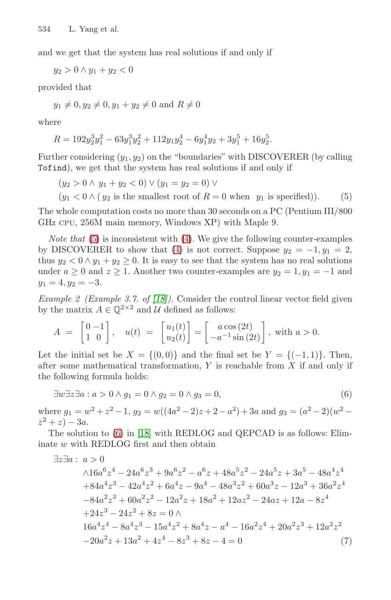and we get that the system has real solutions if and only if

 $y_2 > 0 \wedge y_1 + y_2 < 0$ 

provided that

$$
y_1 \neq 0, y_2 \neq 0, y_1 + y_2 \neq 0
$$
 and  $R \neq 0$ 

where

$$
R = 192y_2^3y_1^2 - 63y_1^3y_2^2 + 112y_1y_2^4 - 6y_1^4y_2 + 3y_1^5 + 16y_2^5.
$$

Further consideri[ng](#page-5-1)  $(y_1, y_2)$  on the "boundaries" with DISCOVERER (by calling Tofind), we ge[t t](#page-5-1)hat the system has real solutions if and only if

 $(y_2 > 0 \wedge y_1 + y_2 < 0) \vee (y_1 = y_2 = 0) \vee$  $(y_1 < 0 \wedge (y_2 \text{ is the smallest root of } R = 0 \text{ when } y_1 \text{ is specified}).$  (5)

The whole [com](#page-9-9)putation costs no more than 30 seconds on a PC (Pentium III/800 GHz cpu, 256M main memory, Windows XP) with Maple 9.

*Note that*  $(5)$  is inconsistent with  $(4)$ . We give the following counter-examples by DISCOVERER to show that (4) is not correct. Suppose  $y_2 = -1$ ,  $y_1 = 2$ , thus  $y_2 < 0 \wedge y_1 + y_2 \ge 0$ . It is easy to see that the system has no real solutions under  $a \geq 0$  and  $z \geq 1$ . Another two counter-examples are  $y_2 = 1$ ,  $y_1 = -1$  and  $y_1 = 4, y_2 = -3.$ 

<span id="page-6-0"></span>*Example 2 (Example 3.7. of [18]).* Consider the control linear vector field given by the matrix  $A \in \mathbb{Q}^{2 \times 2}$  and U defined as follows:

$$
A = \begin{bmatrix} 0 & -1 \\ 1 & 0 \end{bmatrix}, \quad u(t) = \begin{bmatrix} u_1(t) \\ u_2(t) \end{bmatrix} = \begin{bmatrix} a\cos(2t) \\ -a^{-1}\sin(2t) \end{bmatrix}, \text{ with } a > 0.
$$

[Le](#page-6-0)t th[e](#page-9-9) [in](#page-9-9)itial set be  $X = \{(0,0)\}\$ and the final set be  $Y = \{(-1,1)\}\$ . Then, after some mathematical transformation,  $Y$  is reachable from  $X$  if and only if the following formula holds:

$$
\exists w \exists z \exists a : a > 0 \land g_1 = 0 \land g_2 = 0 \land g_3 = 0,
$$
\n
$$
(6)
$$

where  $g_1 = w^2 + z^2 - 1$ ,  $g_2 = w((4a^2 - 2)z + 2 - a^2) + 3a$  and  $g_3 = (a^2 - 2)(w^2 - a^2)$  $z^2 + z - 3a$ .

The solution to (6) in [18] with REDLOG and QEPCAD is as follows: Eliminate w with REDLOG first and then obtain

 $\exists z \exists a : a > 0$ 

$$
\begin{aligned}\n&\wedge 16a^6z^4 - 24a^6z^3 + 9a^6z^2 - a^6z + 48a^5z^2 - 24a^5z + 3a^5 - 48a^4z^4 \\
&+ 84a^4z^3 - 42a^4z^2 + 6a^4z - 9a^4 - 48a^3z^2 + 60a^3z - 12a^3 + 36a^2z^4 \\
&- 84a^2z^3 + 60a^2z^2 - 12a^2z + 18a^2 + 12az^2 - 24az + 12a - 8z^4 \\
&+ 24z^3 - 24z^2 + 8z = 0 \wedge \\
&16a^4z^4 - 8a^4z^3 - 15a^4z^2 + 8a^4z - a^4 - 16a^2z^4 + 20a^2z^3 + 12a^2z^2 \\
&- 20a^2z + 13a^2 + 4z^4 - 8z^3 + 8z - 4 = 0\n\end{aligned}
$$
\n(7)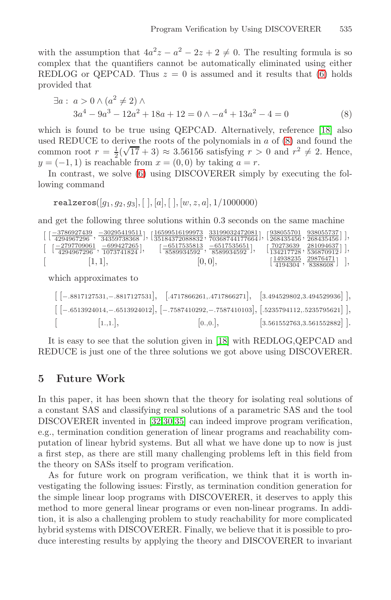<span id="page-7-0"></span>with the assumption that  $4a^2z - a^2 - 2z + 2 \neq 0$  $4a^2z - a^2 - 2z + 2 \neq 0$  $4a^2z - a^2 - 2z + 2 \neq 0$ . [The](#page-9-9) resulting formula is so complex that the quantifiers cannot be automatically eliminated using either REDLOG or QEPCAD. Thus  $z = 0$  is assumed and it results that (6) holds provi[ded](#page-6-0) that

$$
\exists a: a > 0 \land (a2 \neq 2) \land 3a4 - 9a3 - 12a2 + 18a + 12 = 0 \land -a4 + 13a2 - 4 = 0
$$
 (8)

which is found to be true using QEPCAD. Alternatively, reference [18] also used REDUCE to derive the roots of the polynomials in  $a$  of  $(8)$  and found the common root  $r = \frac{1}{2}(\sqrt{17} + 3) \approx 3.56156$  satisfying  $r > 0$  and  $r^2 \neq 2$ . Hence,  $y = (-1, 1)$  is reachable from  $x = (0, 0)$  by taking  $a = r$ .

In contrast, we solve (6) using DISCOVERER simply by executing the following command

realzeros $([q_1, q_2, q_3], [ \, ], [a], [ \, ], [w, z, a], 1/1000000)$ 

and get the following three solutions within 0.3 seconds on the same machine

| $\lceil -3786927439 \rceil -302954195111 \rceil$<br>$1\sqrt{42}94967296$ , 34359738368 | 16599516199973 331990324720811<br>135184372088832,70368744177664丁        | r938055701 9380557371 1<br>$\lfloor 268435456 \cdot 268435456 \rfloor$         |  |
|----------------------------------------------------------------------------------------|--------------------------------------------------------------------------|--------------------------------------------------------------------------------|--|
| 1–2797709061<br>-6994272651<br>$1 \quad 1 \quad 4294967296 \quad 1073741824 \quad 1$   | $r = 6517535813 - 65175356511$<br>$\downarrow$ 8589934592 ' 8589934592 ' | r 70273639 2810946371 1<br>$134217728$ , 536870912                             |  |
| 1, 1 ,                                                                                 | [0, 0],                                                                  | 14938235 298764711<br>$\downarrow$ 4194304, $\frac{1}{8388608}$ , $\downarrow$ |  |

which approximates to

| $\left[$ $[-.8817127531, -.8817127531], \quad$ $[.4717866261, .4717866271], \quad$ $[3.494529802, 3.494529936]$        |         |                                |
|------------------------------------------------------------------------------------------------------------------------|---------|--------------------------------|
| $\begin{bmatrix} [-.6513924014, -.6513924012], [-.7587410292, -.7587410103], [-5235794112, .5235795621] \end{bmatrix}$ |         |                                |
| 1.,1. ,<br>$\mathcal{L} = \mathcal{L}$                                                                                 | 0.,0. , | $[3.561552763, 3.561552882]$ . |

It is ea[sy](#page-10-2) [to](#page-10-3) [see](#page-10-4) that the solution given in [18] with REDLOG,QEPCAD and REDUCE is just one of the three solutions we got above using DISCOVERER.

### **5 Future Work**

In this paper, it has been shown that the theory for isolating real solutions of a constant SAS and classifying real solutions of a parametric SAS and the tool DISCOVERER invented in [32,30,35] can indeed improve program verification, e.g., termination condition generation of linear programs and reachability computation of linear hybrid systems. But all what we have done up to now is just a first step, as there are still many challenging problems left in this field from the theory on SASs itself to program verification.

As for future work on program verification, we think that it is worth investigating the following issues: Firstly, as termination condition generation for the simple linear loop programs with DISCOVERER, it deserves to apply this method to more general linear programs or even non-linear programs. In addition, it is also a challenging problem to study reachability for more complicated hybrid systems with DISCOVERER. Finally, we believe that it is possible to produce interesting results by applying the theory and DISCOVERER to invariant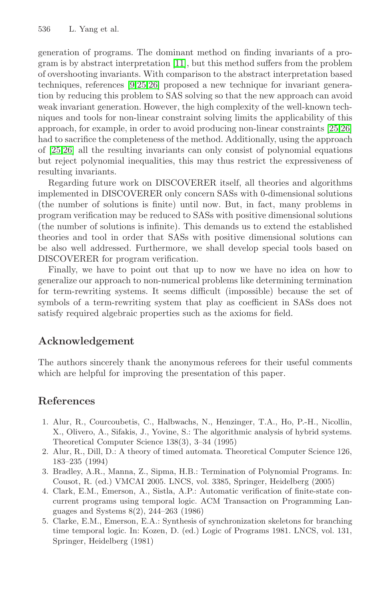generation of programs. The dominant method on fi[ndin](#page-9-16)[g](#page-9-17) [i](#page-9-17)nvariants of a program is by abstract interpretation [11], but this method suffers from the problem of overshooting invariants. With comparison to the abstract interpretation based techniques, references [9,25,26] proposed a new technique for invariant generation by reducing this problem to SAS solving so that the new approach can avoid weak invariant generation. However, the high complexity of the well-known techniques and tools for non-linear constraint solving limits the applicability of this approach, for example, in order to avoid producing non-linear constraints [25,26] had to sacrifice the completeness of the method. Additionally, using the approach of [25,26] all the resulting invariants can only consist of polynomial equations but reject polynomial inequalities, this may thus restrict the expressiveness of resulting invariants.

Regarding future work on DISCOVERER itself, all theories and algorithms implemented in DISCOVERER only concern SASs with 0-dimensional solutions (the number of solutions is finite) until now. But, in fact, many problems in program verification may be reduced to SASs with positive dimensional solutions (the number of solutions is infinite). This demands us to extend the established theories and tool in order that SASs with positive dimensional solutions can be also well addressed. Furthermore, we shall develop special tools based on DISCOVERER for program verification.

Finally, we have to point out that up to now we have no idea on how to generalize our approach to non-numerical problems like determining termination for term-rewriting systems. It seems difficult (impossible) because the set of symbols of a term-rewriting system that play as coefficient in SASs does not satisfy required algebraic properties such as the axioms for field.

### <span id="page-8-3"></span>**Acknowledgement**

<span id="page-8-2"></span>The authors sincerely thank the anonymous referees for their useful comments which are helpful for improving the presentation of this paper.

### <span id="page-8-1"></span><span id="page-8-0"></span>**References**

- 1. Alur, R., Courcoubetis, C., Halbwachs, N., Henzinger, T.A., Ho, P.-H., Nicollin, X., Olivero, A., Sifakis, J., Yovine, S.: The algorithmic analysis of hybrid systems. Theoretical Computer Science 138(3), 3–34 (1995)
- 2. Alur, R., Dill, D.: A theory of timed automata. Theoretical Computer Science 126, 183–235 (1994)
- 3. Bradley, A.R., Manna, Z., Sipma, H.B.: Termination of Polynomial Programs. In: Cousot, R. (ed.) VMCAI 2005. LNCS, vol. 3385, Springer, Heidelberg (2005)
- 4. Clark, E.M., Emerson, A., Sistla, A.P.: Automatic verification of finite-state concurrent programs using temporal logic. ACM Transaction on Programming Languages and Systems 8(2), 244–263 (1986)
- 5. Clarke, E.M., Emerson, E.A.: Synthesis of synchronization skeletons for branching time temporal logic. In: Kozen, D. (ed.) Logic of Programs 1981. LNCS, vol. 131, Springer, Heidelberg (1981)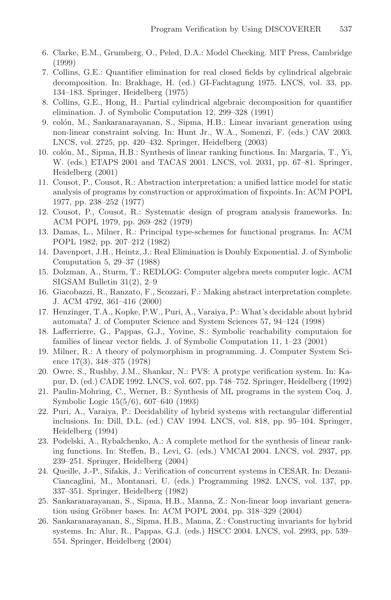- <span id="page-9-7"></span>6. Clarke, E.M., Grumberg, O., Peled, D.A.: Model Checking. MIT Press, Cambridge (1999)
- 7. Collins, G.E.: Quantifier elimination for real closed fields by cylindrical algebraic decomposition. In: Brakhage, H. (ed.) GI-Fachtagung 1975. LNCS, vol. 33, pp. 134–183. Springer, Heidelberg (1975)
- <span id="page-9-11"></span>8. Collins, G.E., Hong, H.: Partial cylindrical algebraic decomposition for quantifier elimination. J. of Symbolic Computation 12, 299–328 (1991)
- <span id="page-9-12"></span>9. colón, M., Sankaranarayanan, S., Sipma, H.B.: Linear invariant generation using non-linear constraint solving. In: Hunt Jr., W.A., Somenzi, F. (eds.) CAV 2003. LNCS, vol. 2725, pp. 420–432. Springer, Heidelberg (2003)
- 10. colón, M., Sipma, H.B.: Synthesis of linear ranking functions. In: Margaria, T., Yi, W. (eds.) ETAPS 2001 and TACAS 2001. LNCS, vol. 2031, pp. 67–81. Springer, Heidelberg (2001)
- <span id="page-9-0"></span>11. Cousot, P., Cousot, R.: Abstraction interpretation: a unified lattice model for static analysis of programs by construction or approximation of fixpoints. In: ACM POPL 1977, pp. 238–252 (1977)
- <span id="page-9-1"></span>12. Cousot, P., Cousot, R.: Systematic design of program analysis frameworks. In: ACM POPL 1979, pp. 269–282 (1979)
- <span id="page-9-3"></span>13. Damas, L., Milner, R.: Principal type-schemes for functional programs. In: ACM POPL 1982, pp. 207–212 (1982)
- <span id="page-9-13"></span><span id="page-9-10"></span>14. Davenport, J.H., Heintz, J.: Real Elimination is Doubly Exponential. J. of Symbolic Computation 5, 29–37 (1988)
- 15. Dolzman, A., Sturm, T.: REDLOG: Computer algebra meets computer logic. ACM SIGSAM Bulletin 31(2), 2–9
- <span id="page-9-2"></span>16. Giacobazzi, R., Ranzato, F., Scozzari, F.: Making abstract interpretation complete. J. ACM 4792, 361–416 (2000)
- <span id="page-9-15"></span>17. Henzinger, T.A., Kopke, P.W., Puri, A., Varaiya, P.: What's decidable about hybrid automata? J. of Computer Science and System Sciences 57, 94–124 (1998)
- <span id="page-9-9"></span>18. Lafferrierre, G., Pappas, G.J., Yovine, S.: Symbolic reachability computaion for families of linear vector fields. J. of Symbolic Computation 11, 1–23 (2001)
- <span id="page-9-4"></span>19. Milner, R.: A theory of polymorphism in programming. J. Computer System Science 17(3), 348–375 (1978)
- <span id="page-9-5"></span>20. Owre, S., Rushby, J.M., Shankar, N.: PVS: A protype verification system. In: Kapur, D. (ed.) CADE 1992. LNCS, vol. 607, pp. 748–752. Springer, Heidelberg (1992)
- <span id="page-9-6"></span>21. Paulin-Mohring, C., Werner, B.: Synthesis of ML programs in the system Coq. J. Symbolic Logic 15(5/6), 607–640 (1993)
- <span id="page-9-14"></span>22. Puri, A., Varaiya, P.: Decidability of hybrid systems with rectangular differential inclusions. In: Dill, D.L. (ed.) CAV 1994. LNCS, vol. 818, pp. 95–104. Springer, Heidelberg (1994)
- 23. Podelski, A., Rybalchenko, A.: A complete method for the synthesis of linear ranking functions. In: Steffen, B., Levi, G. (eds.) VMCAI 2004. LNCS, vol. 2937, pp. 239–251. Springer, Heidelberg (2004)
- <span id="page-9-8"></span>24. Queille, J.-P., Sifakis, J.: Verification of concurrent systems in CESAR. In: Dezani-Ciancaglini, M., Montanari, U. (eds.) Programming 1982. LNCS, vol. 137, pp. 337–351. Springer, Heidelberg (1982)
- <span id="page-9-16"></span>25. Sankaranarayanan, S., Sipma, H.B., Manna, Z.: Non-linear loop invariant generation using Gröbner bases. In: ACM POPL 2004, pp. 318–329 (2004)
- <span id="page-9-17"></span>26. Sankaranarayanan, S., Sipma, H.B., Manna, Z.: Constructing invariants for hybrid systems. In: Alur, R., Pappas, G.J. (eds.) HSCC 2004. LNCS, vol. 2993, pp. 539– 554. Springer, Heidelberg (2004)